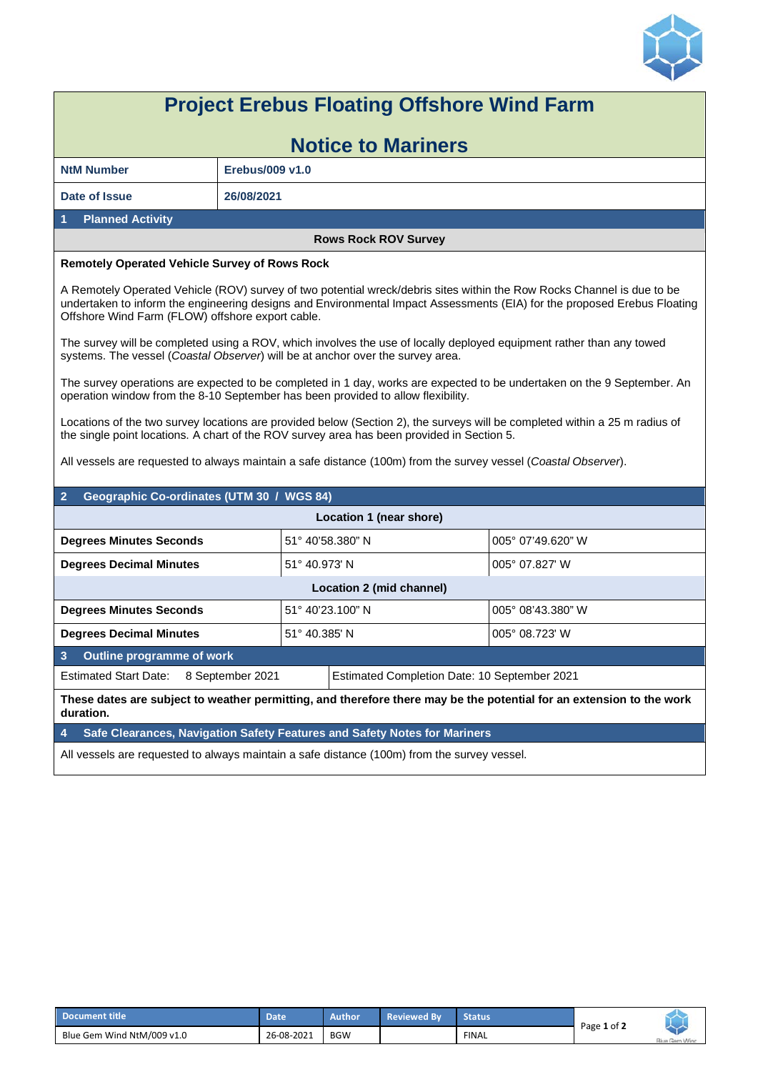

## **Project Erebus Floating Offshore Wind Farm Notice to Mariners NtM Number Erebus/009 v1.0 Date of Issue 26/08/2021 1 Planned Activity Rows Rock ROV Survey Remotely Operated Vehicle Survey of Rows Rock**  A Remotely Operated Vehicle (ROV) survey of two potential wreck/debris sites within the Row Rocks Channel is due to be undertaken to inform the engineering designs and Environmental Impact Assessments (EIA) for the proposed Erebus Floating Offshore Wind Farm (FLOW) offshore export cable. The survey will be completed using a ROV, which involves the use of locally deployed equipment rather than any towed systems. The vessel (*Coastal Observer*) will be at anchor over the survey area. The survey operations are expected to be completed in 1 day, works are expected to be undertaken on the 9 September. An operation window from the 8-10 September has been provided to allow flexibility. Locations of the two survey locations are provided below (Section 2), the surveys will be completed within a 25 m radius of the single point locations. A chart of the ROV survey area has been provided in Section 5. All vessels are requested to always maintain a safe distance (100m) from the survey vessel (*Coastal Observer*). **2 Geographic Co-ordinates (UTM 30 / WGS 84) Location 1 (near shore) Degrees Minutes Seconds**  $\begin{bmatrix} 51^\circ & 40'58.380'' \ N \end{bmatrix}$   $\begin{bmatrix} 005^\circ & 07'49.620'' \ W \end{bmatrix}$ **Degrees Decimal Minutes**  $\begin{bmatrix} 51^\circ & 40.973' & N \end{bmatrix}$   $\begin{bmatrix} 005^\circ & 07.827' & M \end{bmatrix}$ **Location 2 (mid channel) Degrees Minutes Seconds**  $\begin{bmatrix} 51^{\circ} & 40' & 23.100'' \ N \end{bmatrix}$  N  $\begin{bmatrix} 005^{\circ} & 08' & 43.380'' \ W \end{bmatrix}$ **Degrees Decimal Minutes** 51° 40.385' N 005° 08.723' W **3 Outline programme of work**  Estimated Start Date: 8 September 2021 Estimated Completion Date: 10 September 2021 **These dates are subject to weather permitting, and therefore there may be the potential for an extension to the work duration. 4 Safe Clearances, Navigation Safety Features and Safety Notes for Mariners**  All vessels are requested to always maintain a safe distance (100m) from the survey vessel.

| Document title             | Date       | Author     | <b>Reviewed By</b> | <b>Status</b> | Page 1 of 2 |               |
|----------------------------|------------|------------|--------------------|---------------|-------------|---------------|
| Blue Gem Wind NtM/009 v1.0 | 26-08-2021 | <b>BGW</b> |                    | <b>FINAL</b>  |             | Blue Gem Wind |